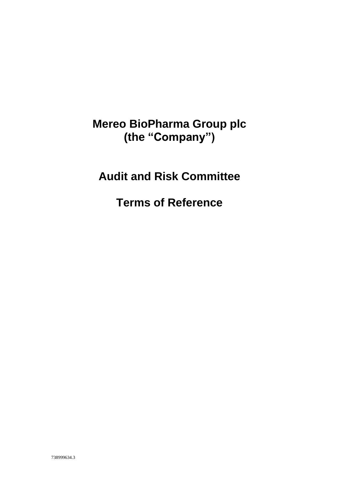## **Mereo BioPharma Group plc (the "Company")**

# **Audit and Risk Committee**

**Terms of Reference**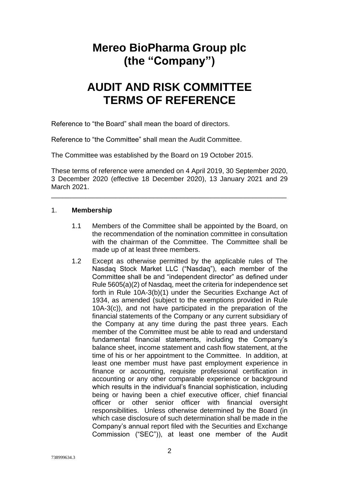## **Mereo BioPharma Group plc (the "Company")**

## **AUDIT AND RISK COMMITTEE TERMS OF REFERENCE**

Reference to "the Board" shall mean the board of directors.

Reference to "the Committee" shall mean the Audit Committee.

The Committee was established by the Board on 19 October 2015.

These terms of reference were amended on 4 April 2019, 30 September 2020, 3 December 2020 (effective 18 December 2020), 13 January 2021 and 29 March 2021.

\_\_\_\_\_\_\_\_\_\_\_\_\_\_\_\_\_\_\_\_\_\_\_\_\_\_\_\_\_\_\_\_\_\_\_\_\_\_\_\_\_\_\_\_\_\_\_\_\_\_\_\_\_\_\_\_\_\_\_\_\_\_

#### 1. **Membership**

- 1.1 Members of the Committee shall be appointed by the Board, on the recommendation of the nomination committee in consultation with the chairman of the Committee. The Committee shall be made up of at least three members.
- 1.2 Except as otherwise permitted by the applicable rules of The Nasdaq Stock Market LLC ("Nasdaq"), each member of the Committee shall be and "independent director" as defined under Rule 5605(a)(2) of Nasdaq, meet the criteria for independence set forth in Rule 10A-3(b)(1) under the Securities Exchange Act of 1934, as amended (subject to the exemptions provided in Rule 10A-3(c)), and not have participated in the preparation of the financial statements of the Company or any current subsidiary of the Company at any time during the past three years. Each member of the Committee must be able to read and understand fundamental financial statements, including the Company's balance sheet, income statement and cash flow statement, at the time of his or her appointment to the Committee. In addition, at least one member must have past employment experience in finance or accounting, requisite professional certification in accounting or any other comparable experience or background which results in the individual's financial sophistication, including being or having been a chief executive officer, chief financial officer or other senior officer with financial oversight responsibilities. Unless otherwise determined by the Board (in which case disclosure of such determination shall be made in the Company's annual report filed with the Securities and Exchange Commission ("SEC")), at least one member of the Audit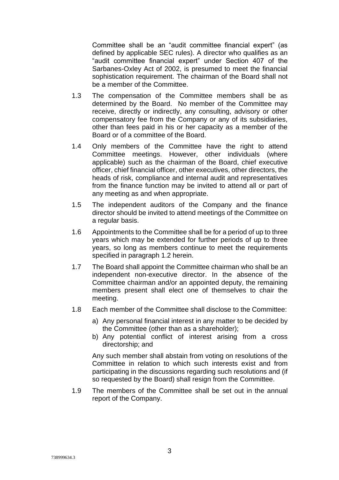Committee shall be an "audit committee financial expert" (as defined by applicable SEC rules). A director who qualifies as an "audit committee financial expert" under Section 407 of the Sarbanes-Oxley Act of 2002, is presumed to meet the financial sophistication requirement. The chairman of the Board shall not be a member of the Committee.

- 1.3 The compensation of the Committee members shall be as determined by the Board. No member of the Committee may receive, directly or indirectly, any consulting, advisory or other compensatory fee from the Company or any of its subsidiaries, other than fees paid in his or her capacity as a member of the Board or of a committee of the Board.
- 1.4 Only members of the Committee have the right to attend Committee meetings. However, other individuals (where applicable) such as the chairman of the Board, chief executive officer, chief financial officer, other executives, other directors, the heads of risk, compliance and internal audit and representatives from the finance function may be invited to attend all or part of any meeting as and when appropriate.
- 1.5 The independent auditors of the Company and the finance director should be invited to attend meetings of the Committee on a regular basis.
- 1.6 Appointments to the Committee shall be for a period of up to three years which may be extended for further periods of up to three years, so long as members continue to meet the requirements specified in paragraph 1.2 herein.
- 1.7 The Board shall appoint the Committee chairman who shall be an independent non-executive director. In the absence of the Committee chairman and/or an appointed deputy, the remaining members present shall elect one of themselves to chair the meeting.
- 1.8 Each member of the Committee shall disclose to the Committee:
	- a) Any personal financial interest in any matter to be decided by the Committee (other than as a shareholder);
	- b) Any potential conflict of interest arising from a cross directorship; and

Any such member shall abstain from voting on resolutions of the Committee in relation to which such interests exist and from participating in the discussions regarding such resolutions and (if so requested by the Board) shall resign from the Committee.

1.9 The members of the Committee shall be set out in the annual report of the Company.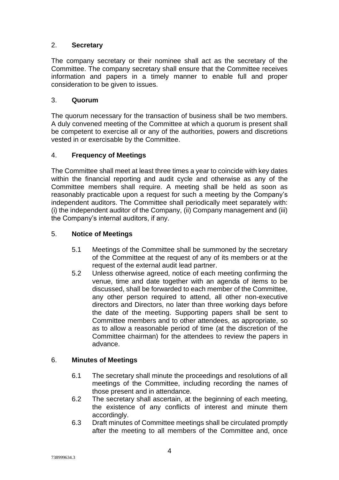## 2. **Secretary**

The company secretary or their nominee shall act as the secretary of the Committee. The company secretary shall ensure that the Committee receives information and papers in a timely manner to enable full and proper consideration to be given to issues.

## 3. **Quorum**

The quorum necessary for the transaction of business shall be two members. A duly convened meeting of the Committee at which a quorum is present shall be competent to exercise all or any of the authorities, powers and discretions vested in or exercisable by the Committee.

## 4. **Frequency of Meetings**

The Committee shall meet at least three times a year to coincide with key dates within the financial reporting and audit cycle and otherwise as any of the Committee members shall require. A meeting shall be held as soon as reasonably practicable upon a request for such a meeting by the Company's independent auditors. The Committee shall periodically meet separately with: (i) the independent auditor of the Company, (ii) Company management and (iii) the Company's internal auditors, if any.

## 5. **Notice of Meetings**

- 5.1 Meetings of the Committee shall be summoned by the secretary of the Committee at the request of any of its members or at the request of the external audit lead partner.
- 5.2 Unless otherwise agreed, notice of each meeting confirming the venue, time and date together with an agenda of items to be discussed, shall be forwarded to each member of the Committee, any other person required to attend, all other non-executive directors and Directors, no later than three working days before the date of the meeting. Supporting papers shall be sent to Committee members and to other attendees, as appropriate, so as to allow a reasonable period of time (at the discretion of the Committee chairman) for the attendees to review the papers in advance.

## 6. **Minutes of Meetings**

- 6.1 The secretary shall minute the proceedings and resolutions of all meetings of the Committee, including recording the names of those present and in attendance.
- 6.2 The secretary shall ascertain, at the beginning of each meeting, the existence of any conflicts of interest and minute them accordingly.
- 6.3 Draft minutes of Committee meetings shall be circulated promptly after the meeting to all members of the Committee and, once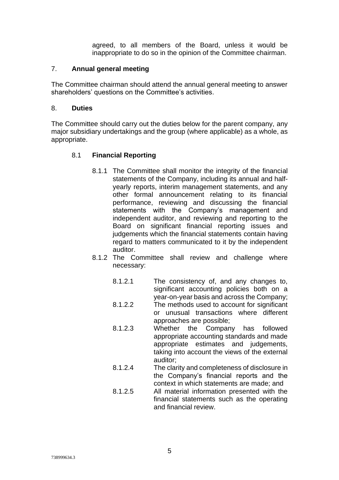agreed, to all members of the Board, unless it would be inappropriate to do so in the opinion of the Committee chairman.

#### 7. **Annual general meeting**

The Committee chairman should attend the annual general meeting to answer shareholders' questions on the Committee's activities.

#### 8. **Duties**

The Committee should carry out the duties below for the parent company, any major subsidiary undertakings and the group (where applicable) as a whole, as appropriate.

#### 8.1 **Financial Reporting**

- 8.1.1 The Committee shall monitor the integrity of the financial statements of the Company, including its annual and halfyearly reports, interim management statements, and any other formal announcement relating to its financial performance, reviewing and discussing the financial statements with the Company's management and independent auditor, and reviewing and reporting to the Board on significant financial reporting issues and judgements which the financial statements contain having regard to matters communicated to it by the independent auditor.
- 8.1.2 The Committee shall review and challenge where necessary:
	- 8.1.2.1 The consistency of, and any changes to, significant accounting policies both on a year-on-year basis and across the Company;
	- 8.1.2.2 The methods used to account for significant or unusual transactions where different approaches are possible;
	- 8.1.2.3 Whether the Company has followed appropriate accounting standards and made appropriate estimates and judgements, taking into account the views of the external auditor;
	- 8.1.2.4 The clarity and completeness of disclosure in the Company's financial reports and the context in which statements are made; and
	- 8.1.2.5 All material information presented with the financial statements such as the operating and financial review.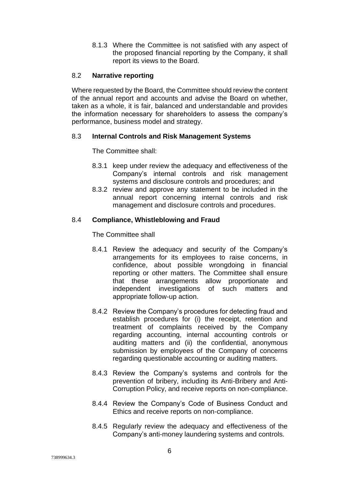8.1.3 Where the Committee is not satisfied with any aspect of the proposed financial reporting by the Company, it shall report its views to the Board.

#### 8.2 **Narrative reporting**

Where requested by the Board, the Committee should review the content of the annual report and accounts and advise the Board on whether, taken as a whole, it is fair, balanced and understandable and provides the information necessary for shareholders to assess the company's performance, business model and strategy.

### 8.3 **Internal Controls and Risk Management Systems**

The Committee shall:

- 8.3.1 keep under review the adequacy and effectiveness of the Company's internal controls and risk management systems and disclosure controls and procedures; and
- 8.3.2 review and approve any statement to be included in the annual report concerning internal controls and risk management and disclosure controls and procedures.

### 8.4 **Compliance, Whistleblowing and Fraud**

The Committee shall

- 8.4.1 Review the adequacy and security of the Company's arrangements for its employees to raise concerns, in confidence, about possible wrongdoing in financial reporting or other matters. The Committee shall ensure that these arrangements allow proportionate and independent investigations of such matters and appropriate follow-up action.
- 8.4.2 Review the Company's procedures for detecting fraud and establish procedures for (i) the receipt, retention and treatment of complaints received by the Company regarding accounting, internal accounting controls or auditing matters and (ii) the confidential, anonymous submission by employees of the Company of concerns regarding questionable accounting or auditing matters.
- 8.4.3 Review the Company's systems and controls for the prevention of bribery, including its Anti-Bribery and Anti-Corruption Policy, and receive reports on non-compliance.
- 8.4.4 Review the Company's Code of Business Conduct and Ethics and receive reports on non-compliance.
- 8.4.5 Regularly review the adequacy and effectiveness of the Company's anti-money laundering systems and controls.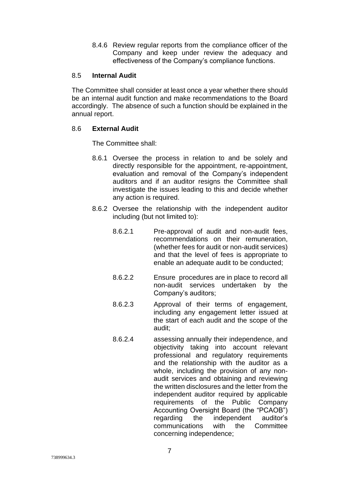8.4.6 Review regular reports from the compliance officer of the Company and keep under review the adequacy and effectiveness of the Company's compliance functions.

#### 8.5 **Internal Audit**

The Committee shall consider at least once a year whether there should be an internal audit function and make recommendations to the Board accordingly. The absence of such a function should be explained in the annual report.

#### 8.6 **External Audit**

The Committee shall:

- 8.6.1 Oversee the process in relation to and be solely and directly responsible for the appointment, re-appointment, evaluation and removal of the Company's independent auditors and if an auditor resigns the Committee shall investigate the issues leading to this and decide whether any action is required.
- 8.6.2 Oversee the relationship with the independent auditor including (but not limited to):
	- 8.6.2.1 Pre-approval of audit and non-audit fees, recommendations on their remuneration, (whether fees for audit or non-audit services) and that the level of fees is appropriate to enable an adequate audit to be conducted;
	- 8.6.2.2 Ensure procedures are in place to record all non-audit services undertaken by the Company's auditors;
	- 8.6.2.3 Approval of their terms of engagement, including any engagement letter issued at the start of each audit and the scope of the audit;
	- 8.6.2.4 assessing annually their independence, and objectivity taking into account relevant professional and regulatory requirements and the relationship with the auditor as a whole, including the provision of any nonaudit services and obtaining and reviewing the written disclosures and the letter from the independent auditor required by applicable requirements of the Public Company Accounting Oversight Board (the "PCAOB") regarding the independent auditor's communications with the Committee concerning independence;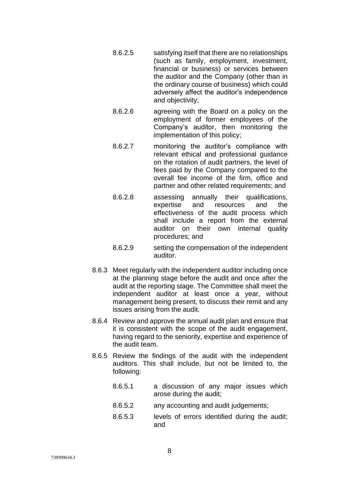- 8.6.2.5 satisfying itself that there are no relationships (such as family, employment, investment, financial or business) or services between the auditor and the Company (other than in the ordinary course of business) which could adversely affect the auditor's independence and objectivity;
- 8.6.2.6 agreeing with the Board on a policy on the employment of former employees of the Company's auditor, then monitoring the implementation of this policy;
- 8.6.2.7 monitoring the auditor's compliance with relevant ethical and professional guidance on the rotation of audit partners, the level of fees paid by the Company compared to the overall fee income of the firm, office and partner and other related requirements; and
- 8.6.2.8 assessing annually their qualifications, expertise and resources and the effectiveness of the audit process which shall include a report from the external auditor on their own internal quality procedures; and
- 8.6.2.9 setting the compensation of the independent auditor.
- 8.6.3 Meet regularly with the independent auditor including once at the planning stage before the audit and once after the audit at the reporting stage. The Committee shall meet the independent auditor at least once a year, without management being present, to discuss their remit and any issues arising from the audit.
- 8.6.4 Review and approve the annual audit plan and ensure that it is consistent with the scope of the audit engagement, having regard to the seniority, expertise and experience of the audit team.
- 8.6.5 Review the findings of the audit with the independent auditors. This shall include, but not be limited to, the following:
	- 8.6.5.1 a discussion of any major issues which arose during the audit;
	- 8.6.5.2 any accounting and audit judgements;
	- 8.6.5.3 levels of errors identified during the audit; and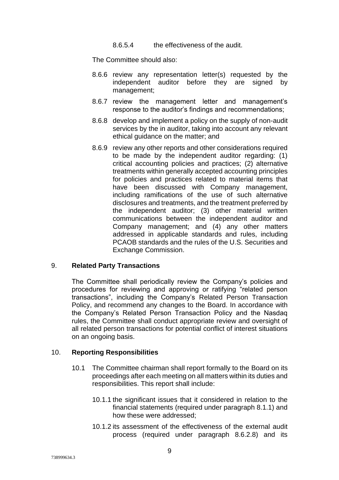8.6.5.4 the effectiveness of the audit.

The Committee should also:

- 8.6.6 review any representation letter(s) requested by the independent auditor before they are signed by management;
- 8.6.7 review the management letter and management's response to the auditor's findings and recommendations;
- 8.6.8 develop and implement a policy on the supply of non-audit services by the in auditor, taking into account any relevant ethical guidance on the matter; and
- 8.6.9 review any other reports and other considerations required to be made by the independent auditor regarding: (1) critical accounting policies and practices; (2) alternative treatments within generally accepted accounting principles for policies and practices related to material items that have been discussed with Company management. including ramifications of the use of such alternative disclosures and treatments, and the treatment preferred by the independent auditor; (3) other material written communications between the independent auditor and Company management; and (4) any other matters addressed in applicable standards and rules, including PCAOB standards and the rules of the U.S. Securities and Exchange Commission.

#### 9. **Related Party Transactions**

The Committee shall periodically review the Company's policies and procedures for reviewing and approving or ratifying "related person transactions", including the Company's Related Person Transaction Policy, and recommend any changes to the Board. In accordance with the Company's Related Person Transaction Policy and the Nasdaq rules, the Committee shall conduct appropriate review and oversight of all related person transactions for potential conflict of interest situations on an ongoing basis.

#### 10. **Reporting Responsibilities**

- 10.1 The Committee chairman shall report formally to the Board on its proceedings after each meeting on all matters within its duties and responsibilities. This report shall include:
	- 10.1.1 the significant issues that it considered in relation to the financial statements (required under paragraph 8.1.1) and how these were addressed;
	- 10.1.2 its assessment of the effectiveness of the external audit process (required under paragraph 8.6.2.8) and its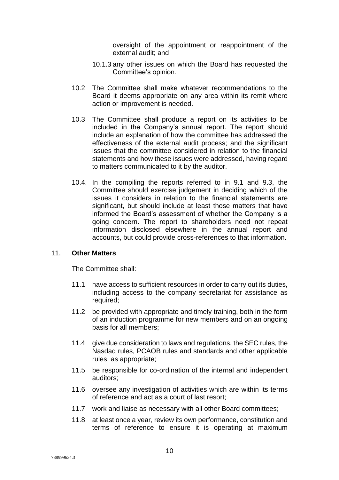oversight of the appointment or reappointment of the external audit; and

- 10.1.3 any other issues on which the Board has requested the Committee's opinion.
- 10.2 The Committee shall make whatever recommendations to the Board it deems appropriate on any area within its remit where action or improvement is needed.
- 10.3 The Committee shall produce a report on its activities to be included in the Company's annual report. The report should include an explanation of how the committee has addressed the effectiveness of the external audit process; and the significant issues that the committee considered in relation to the financial statements and how these issues were addressed, having regard to matters communicated to it by the auditor.
- 10.4. In the compiling the reports referred to in 9.1 and 9.3, the Committee should exercise judgement in deciding which of the issues it considers in relation to the financial statements are significant, but should include at least those matters that have informed the Board's assessment of whether the Company is a going concern. The report to shareholders need not repeat information disclosed elsewhere in the annual report and accounts, but could provide cross-references to that information.

#### 11. **Other Matters**

The Committee shall:

- 11.1 have access to sufficient resources in order to carry out its duties, including access to the company secretariat for assistance as required;
- 11.2 be provided with appropriate and timely training, both in the form of an induction programme for new members and on an ongoing basis for all members;
- 11.4 give due consideration to laws and regulations, the SEC rules, the Nasdaq rules, PCAOB rules and standards and other applicable rules, as appropriate;
- 11.5 be responsible for co-ordination of the internal and independent auditors;
- 11.6 oversee any investigation of activities which are within its terms of reference and act as a court of last resort;
- 11.7 work and liaise as necessary with all other Board committees;
- 11.8 at least once a year, review its own performance, constitution and terms of reference to ensure it is operating at maximum